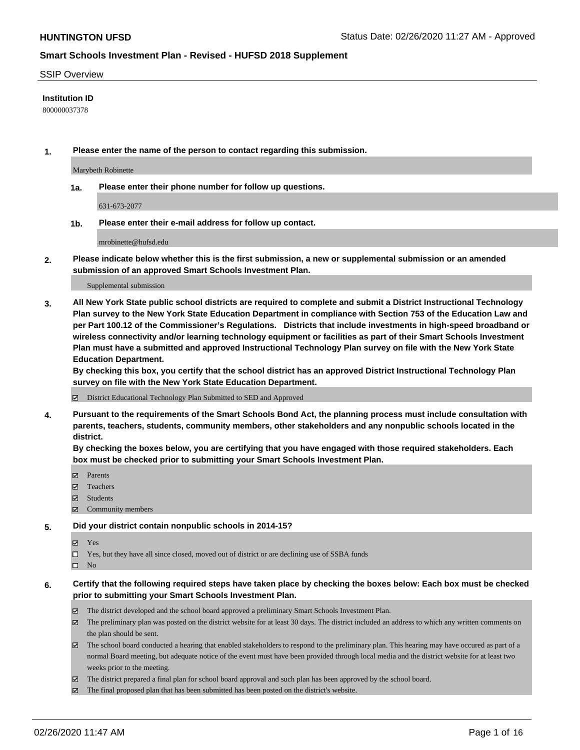#### SSIP Overview

#### **Institution ID**

800000037378

**1. Please enter the name of the person to contact regarding this submission.**

Marybeth Robinette

**1a. Please enter their phone number for follow up questions.**

631-673-2077

**1b. Please enter their e-mail address for follow up contact.**

mrobinette@hufsd.edu

**2. Please indicate below whether this is the first submission, a new or supplemental submission or an amended submission of an approved Smart Schools Investment Plan.**

#### Supplemental submission

**3. All New York State public school districts are required to complete and submit a District Instructional Technology Plan survey to the New York State Education Department in compliance with Section 753 of the Education Law and per Part 100.12 of the Commissioner's Regulations. Districts that include investments in high-speed broadband or wireless connectivity and/or learning technology equipment or facilities as part of their Smart Schools Investment Plan must have a submitted and approved Instructional Technology Plan survey on file with the New York State Education Department.** 

**By checking this box, you certify that the school district has an approved District Instructional Technology Plan survey on file with the New York State Education Department.**

District Educational Technology Plan Submitted to SED and Approved

**4. Pursuant to the requirements of the Smart Schools Bond Act, the planning process must include consultation with parents, teachers, students, community members, other stakeholders and any nonpublic schools located in the district.** 

**By checking the boxes below, you are certifying that you have engaged with those required stakeholders. Each box must be checked prior to submitting your Smart Schools Investment Plan.**

- **マ** Parents
- Teachers
- Students
- Community members

#### **5. Did your district contain nonpublic schools in 2014-15?**

**冈** Yes

Yes, but they have all since closed, moved out of district or are declining use of SSBA funds

 $\square$  No

- **6. Certify that the following required steps have taken place by checking the boxes below: Each box must be checked prior to submitting your Smart Schools Investment Plan.**
	- The district developed and the school board approved a preliminary Smart Schools Investment Plan.
	- $\boxtimes$  The preliminary plan was posted on the district website for at least 30 days. The district included an address to which any written comments on the plan should be sent.
	- $\boxtimes$  The school board conducted a hearing that enabled stakeholders to respond to the preliminary plan. This hearing may have occured as part of a normal Board meeting, but adequate notice of the event must have been provided through local media and the district website for at least two weeks prior to the meeting.
	- The district prepared a final plan for school board approval and such plan has been approved by the school board.
	- The final proposed plan that has been submitted has been posted on the district's website.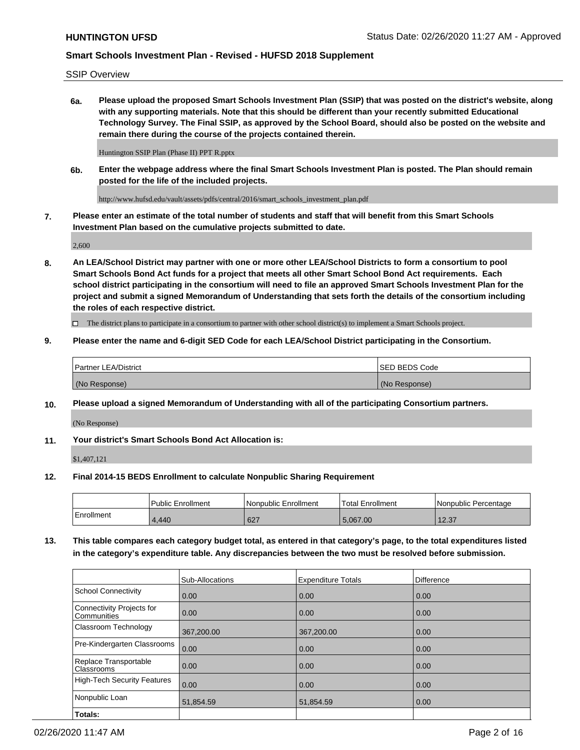SSIP Overview

**6a. Please upload the proposed Smart Schools Investment Plan (SSIP) that was posted on the district's website, along with any supporting materials. Note that this should be different than your recently submitted Educational Technology Survey. The Final SSIP, as approved by the School Board, should also be posted on the website and remain there during the course of the projects contained therein.**

Huntington SSIP Plan (Phase II) PPT R.pptx

**6b. Enter the webpage address where the final Smart Schools Investment Plan is posted. The Plan should remain posted for the life of the included projects.**

http://www.hufsd.edu/vault/assets/pdfs/central/2016/smart\_schools\_investment\_plan.pdf

**7. Please enter an estimate of the total number of students and staff that will benefit from this Smart Schools Investment Plan based on the cumulative projects submitted to date.**

2,600

**8. An LEA/School District may partner with one or more other LEA/School Districts to form a consortium to pool Smart Schools Bond Act funds for a project that meets all other Smart School Bond Act requirements. Each school district participating in the consortium will need to file an approved Smart Schools Investment Plan for the project and submit a signed Memorandum of Understanding that sets forth the details of the consortium including the roles of each respective district.**

 $\Box$  The district plans to participate in a consortium to partner with other school district(s) to implement a Smart Schools project.

#### **9. Please enter the name and 6-digit SED Code for each LEA/School District participating in the Consortium.**

| Partner LEA/District | <b>ISED BEDS Code</b> |
|----------------------|-----------------------|
| (No Response)        | (No Response)         |

### **10. Please upload a signed Memorandum of Understanding with all of the participating Consortium partners.**

(No Response)

### **11. Your district's Smart Schools Bond Act Allocation is:**

\$1,407,121

#### **12. Final 2014-15 BEDS Enrollment to calculate Nonpublic Sharing Requirement**

|            | Public Enrollment | Nonpublic Enrollment | Total Enrollment | I Nonpublic Percentage |
|------------|-------------------|----------------------|------------------|------------------------|
| Enrollment | 1.440             | 627                  | 5.067.00         | 12.27<br>ا د.ع ا       |

**13. This table compares each category budget total, as entered in that category's page, to the total expenditures listed in the category's expenditure table. Any discrepancies between the two must be resolved before submission.**

|                                          | Sub-Allocations | <b>Expenditure Totals</b> | Difference |
|------------------------------------------|-----------------|---------------------------|------------|
| <b>School Connectivity</b>               | 0.00            | 0.00                      | 0.00       |
| Connectivity Projects for<br>Communities | 0.00            | 0.00                      | 0.00       |
| Classroom Technology                     | 367,200.00      | 367,200.00                | 0.00       |
| Pre-Kindergarten Classrooms              | 0.00            | 0.00                      | 0.00       |
| Replace Transportable<br>Classrooms      | 0.00            | 0.00                      | 0.00       |
| <b>High-Tech Security Features</b>       | 0.00            | 0.00                      | 0.00       |
| Nonpublic Loan                           | 51,854.59       | 51,854.59                 | 0.00       |
| Totals:                                  |                 |                           |            |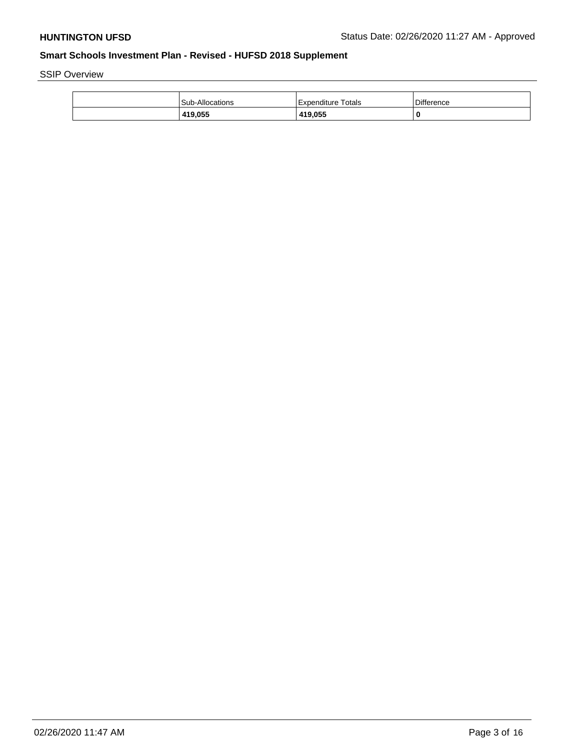SSIP Overview

| <b>Sub-Allocations</b> | Expenditure Totals | <b>Difference</b> |
|------------------------|--------------------|-------------------|
| 419,055                | 419,055            | 0                 |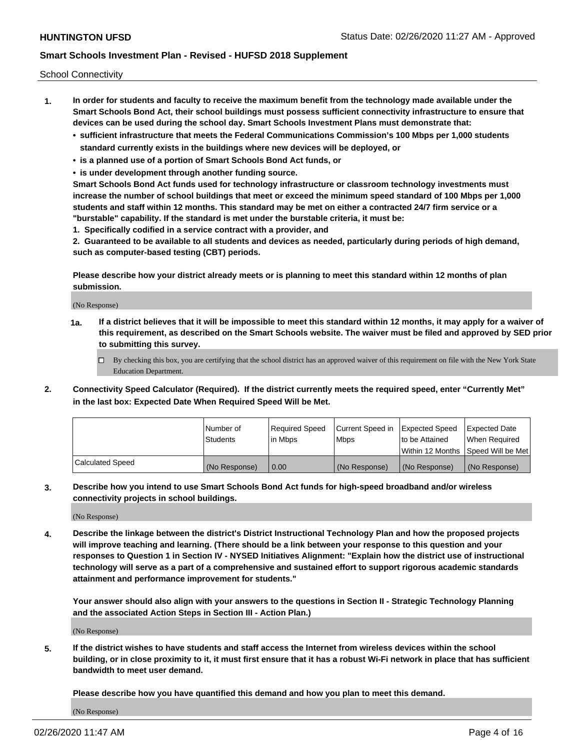School Connectivity

- **1. In order for students and faculty to receive the maximum benefit from the technology made available under the Smart Schools Bond Act, their school buildings must possess sufficient connectivity infrastructure to ensure that devices can be used during the school day. Smart Schools Investment Plans must demonstrate that:**
	- **• sufficient infrastructure that meets the Federal Communications Commission's 100 Mbps per 1,000 students standard currently exists in the buildings where new devices will be deployed, or**
	- **• is a planned use of a portion of Smart Schools Bond Act funds, or**
	- **• is under development through another funding source.**

**Smart Schools Bond Act funds used for technology infrastructure or classroom technology investments must increase the number of school buildings that meet or exceed the minimum speed standard of 100 Mbps per 1,000 students and staff within 12 months. This standard may be met on either a contracted 24/7 firm service or a "burstable" capability. If the standard is met under the burstable criteria, it must be:**

**1. Specifically codified in a service contract with a provider, and**

**2. Guaranteed to be available to all students and devices as needed, particularly during periods of high demand, such as computer-based testing (CBT) periods.**

**Please describe how your district already meets or is planning to meet this standard within 12 months of plan submission.**

(No Response)

**1a. If a district believes that it will be impossible to meet this standard within 12 months, it may apply for a waiver of this requirement, as described on the Smart Schools website. The waiver must be filed and approved by SED prior to submitting this survey.**

 $\Box$  By checking this box, you are certifying that the school district has an approved waiver of this requirement on file with the New York State Education Department.

**2. Connectivity Speed Calculator (Required). If the district currently meets the required speed, enter "Currently Met" in the last box: Expected Date When Required Speed Will be Met.**

|                  | l Number of     | Required Speed | Current Speed in | Expected Speed  | Expected Date                           |
|------------------|-----------------|----------------|------------------|-----------------|-----------------------------------------|
|                  | <b>Students</b> | In Mbps        | l Mbps           | to be Attained  | When Required                           |
|                  |                 |                |                  |                 | l Within 12 Months ISpeed Will be Met l |
| Calculated Speed | (No Response)   | 0.00           | (No Response)    | l (No Response) | l (No Response)                         |

**3. Describe how you intend to use Smart Schools Bond Act funds for high-speed broadband and/or wireless connectivity projects in school buildings.**

(No Response)

**4. Describe the linkage between the district's District Instructional Technology Plan and how the proposed projects will improve teaching and learning. (There should be a link between your response to this question and your responses to Question 1 in Section IV - NYSED Initiatives Alignment: "Explain how the district use of instructional technology will serve as a part of a comprehensive and sustained effort to support rigorous academic standards attainment and performance improvement for students."** 

**Your answer should also align with your answers to the questions in Section II - Strategic Technology Planning and the associated Action Steps in Section III - Action Plan.)**

(No Response)

**5. If the district wishes to have students and staff access the Internet from wireless devices within the school building, or in close proximity to it, it must first ensure that it has a robust Wi-Fi network in place that has sufficient bandwidth to meet user demand.**

**Please describe how you have quantified this demand and how you plan to meet this demand.**

(No Response)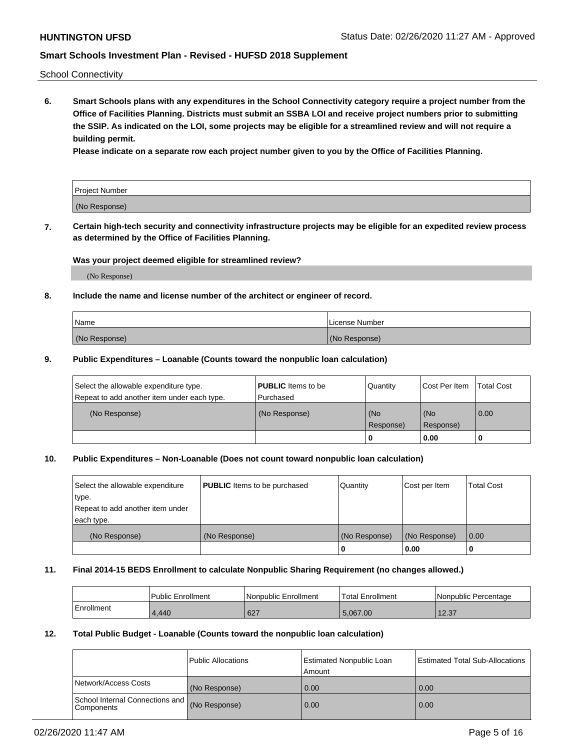School Connectivity

**6. Smart Schools plans with any expenditures in the School Connectivity category require a project number from the Office of Facilities Planning. Districts must submit an SSBA LOI and receive project numbers prior to submitting the SSIP. As indicated on the LOI, some projects may be eligible for a streamlined review and will not require a building permit.**

**Please indicate on a separate row each project number given to you by the Office of Facilities Planning.**

| Project Number |  |
|----------------|--|
| (No Response)  |  |

**7. Certain high-tech security and connectivity infrastructure projects may be eligible for an expedited review process as determined by the Office of Facilities Planning.**

### **Was your project deemed eligible for streamlined review?**

(No Response)

### **8. Include the name and license number of the architect or engineer of record.**

| l Name        | License Number |
|---------------|----------------|
| (No Response) | (No Response)  |

#### **9. Public Expenditures – Loanable (Counts toward the nonpublic loan calculation)**

| Select the allowable expenditure type.<br>Repeat to add another item under each type. | <b>PUBLIC</b> Items to be<br>l Purchased | Quantity           | Cost Per Item    | <b>Total Cost</b> |
|---------------------------------------------------------------------------------------|------------------------------------------|--------------------|------------------|-------------------|
| (No Response)                                                                         | (No Response)                            | l (No<br>Response) | (No<br>Response) | $\overline{0.00}$ |
|                                                                                       |                                          | O                  | 0.00             |                   |

### **10. Public Expenditures – Non-Loanable (Does not count toward nonpublic loan calculation)**

| Select the allowable expenditure<br>type.<br>Repeat to add another item under<br>each type. | <b>PUBLIC</b> Items to be purchased | Quantity      | Cost per Item | <b>Total Cost</b> |
|---------------------------------------------------------------------------------------------|-------------------------------------|---------------|---------------|-------------------|
| (No Response)                                                                               | (No Response)                       | (No Response) | (No Response) | 0.00              |
|                                                                                             |                                     |               | 0.00          |                   |

#### **11. Final 2014-15 BEDS Enrollment to calculate Nonpublic Sharing Requirement (no changes allowed.)**

|            | Public Enrollment | l Nonpublic Enrollment | <b>Total Enrollment</b> | Nonpublic Percentage |
|------------|-------------------|------------------------|-------------------------|----------------------|
| Enrollment | 4.440             | 627                    | 5.067.00                | 12.37                |

#### **12. Total Public Budget - Loanable (Counts toward the nonpublic loan calculation)**

|                                                      | Public Allocations | <b>Estimated Nonpublic Loan</b><br>Amount | Estimated Total Sub-Allocations |
|------------------------------------------------------|--------------------|-------------------------------------------|---------------------------------|
| Network/Access Costs                                 | (No Response)      | 0.00                                      | 0.00                            |
| School Internal Connections and<br><b>Components</b> | (No Response)      | 0.00                                      | 0.00                            |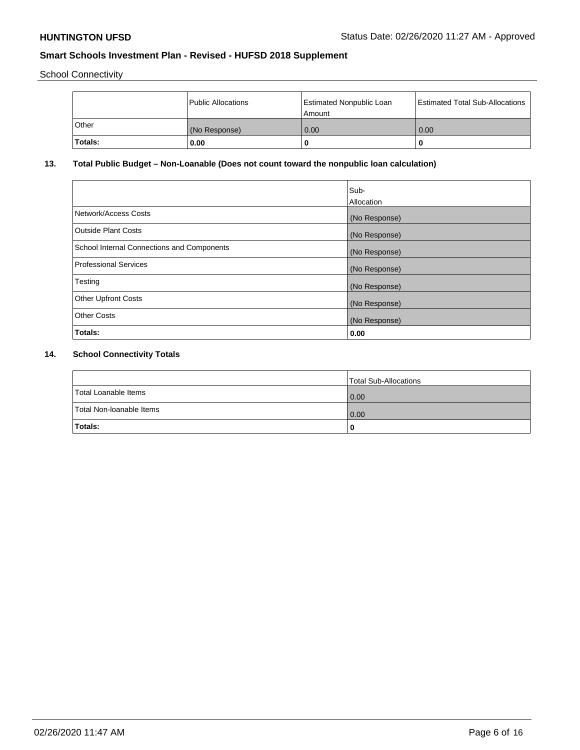School Connectivity

|                | Public Allocations | <b>Estimated Nonpublic Loan</b><br>l Amount | <b>Estimated Total Sub-Allocations</b> |
|----------------|--------------------|---------------------------------------------|----------------------------------------|
| l Other        | (No Response)      | 0.00                                        | 0.00                                   |
| <b>Totals:</b> | 0.00               | 0                                           |                                        |

# **13. Total Public Budget – Non-Loanable (Does not count toward the nonpublic loan calculation)**

|                                                   | Sub-<br>Allocation |
|---------------------------------------------------|--------------------|
|                                                   |                    |
| Network/Access Costs                              | (No Response)      |
| <b>Outside Plant Costs</b>                        | (No Response)      |
| <b>School Internal Connections and Components</b> | (No Response)      |
| Professional Services                             | (No Response)      |
| Testing                                           | (No Response)      |
| <b>Other Upfront Costs</b>                        | (No Response)      |
| <b>Other Costs</b>                                | (No Response)      |
| <b>Totals:</b>                                    | 0.00               |

# **14. School Connectivity Totals**

|                          | Total Sub-Allocations |
|--------------------------|-----------------------|
| Total Loanable Items     | 0.00                  |
| Total Non-Ioanable Items | 0.00                  |
| Totals:                  | 0                     |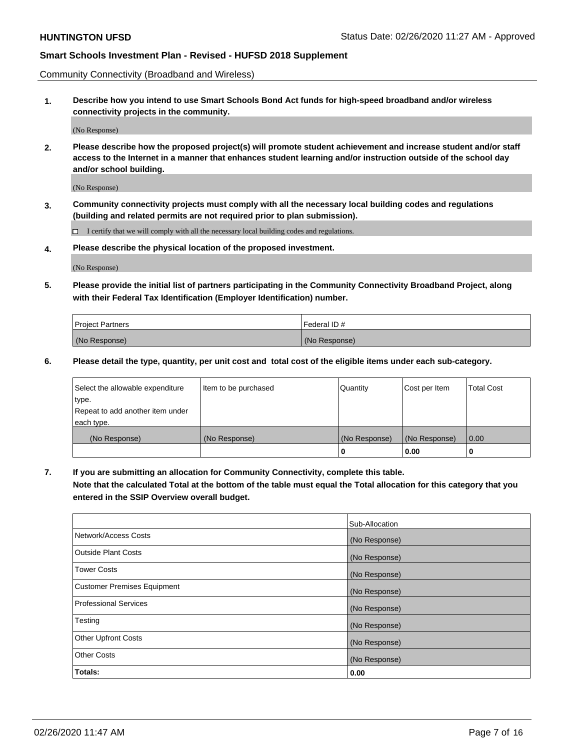Community Connectivity (Broadband and Wireless)

**1. Describe how you intend to use Smart Schools Bond Act funds for high-speed broadband and/or wireless connectivity projects in the community.**

(No Response)

**2. Please describe how the proposed project(s) will promote student achievement and increase student and/or staff access to the Internet in a manner that enhances student learning and/or instruction outside of the school day and/or school building.**

(No Response)

**3. Community connectivity projects must comply with all the necessary local building codes and regulations (building and related permits are not required prior to plan submission).**

 $\Box$  I certify that we will comply with all the necessary local building codes and regulations.

**4. Please describe the physical location of the proposed investment.**

(No Response)

**5. Please provide the initial list of partners participating in the Community Connectivity Broadband Project, along with their Federal Tax Identification (Employer Identification) number.**

| <b>Project Partners</b> | l Federal ID # |
|-------------------------|----------------|
| (No Response)           | (No Response)  |

**6. Please detail the type, quantity, per unit cost and total cost of the eligible items under each sub-category.**

| Select the allowable expenditure | Item to be purchased | Quantity      | Cost per Item | <b>Total Cost</b> |
|----------------------------------|----------------------|---------------|---------------|-------------------|
| type.                            |                      |               |               |                   |
| Repeat to add another item under |                      |               |               |                   |
| each type.                       |                      |               |               |                   |
| (No Response)                    | (No Response)        | (No Response) | (No Response) | 0.00              |
|                                  |                      | U             | 0.00          |                   |

**7. If you are submitting an allocation for Community Connectivity, complete this table.**

**Note that the calculated Total at the bottom of the table must equal the Total allocation for this category that you entered in the SSIP Overview overall budget.**

|                                    | Sub-Allocation |
|------------------------------------|----------------|
| Network/Access Costs               | (No Response)  |
| Outside Plant Costs                | (No Response)  |
| <b>Tower Costs</b>                 | (No Response)  |
| <b>Customer Premises Equipment</b> | (No Response)  |
| <b>Professional Services</b>       | (No Response)  |
| Testing                            | (No Response)  |
| <b>Other Upfront Costs</b>         | (No Response)  |
| <b>Other Costs</b>                 | (No Response)  |
| Totals:                            | 0.00           |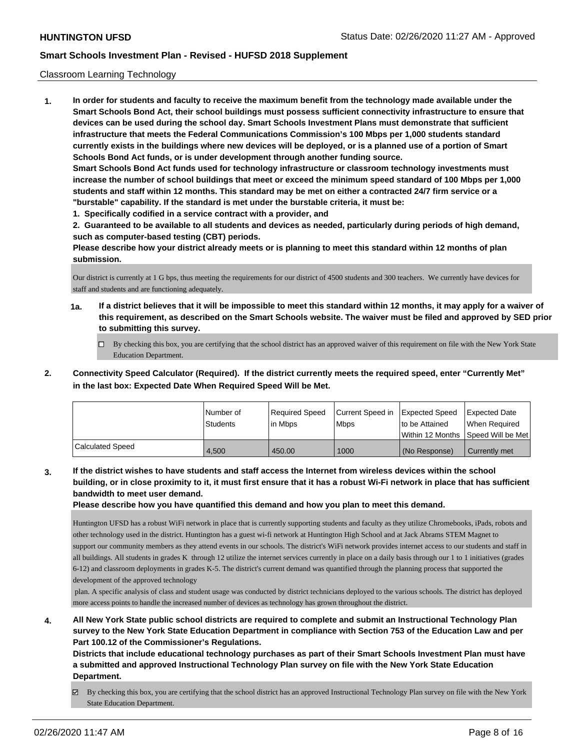### Classroom Learning Technology

**1. In order for students and faculty to receive the maximum benefit from the technology made available under the Smart Schools Bond Act, their school buildings must possess sufficient connectivity infrastructure to ensure that devices can be used during the school day. Smart Schools Investment Plans must demonstrate that sufficient infrastructure that meets the Federal Communications Commission's 100 Mbps per 1,000 students standard currently exists in the buildings where new devices will be deployed, or is a planned use of a portion of Smart Schools Bond Act funds, or is under development through another funding source. Smart Schools Bond Act funds used for technology infrastructure or classroom technology investments must increase the number of school buildings that meet or exceed the minimum speed standard of 100 Mbps per 1,000 students and staff within 12 months. This standard may be met on either a contracted 24/7 firm service or a "burstable" capability. If the standard is met under the burstable criteria, it must be:**

**1. Specifically codified in a service contract with a provider, and**

**2. Guaranteed to be available to all students and devices as needed, particularly during periods of high demand, such as computer-based testing (CBT) periods.**

**Please describe how your district already meets or is planning to meet this standard within 12 months of plan submission.**

Our district is currently at 1 G bps, thus meeting the requirements for our district of 4500 students and 300 teachers. We currently have devices for staff and students and are functioning adequately.

- **1a. If a district believes that it will be impossible to meet this standard within 12 months, it may apply for a waiver of this requirement, as described on the Smart Schools website. The waiver must be filed and approved by SED prior to submitting this survey.**
	- By checking this box, you are certifying that the school district has an approved waiver of this requirement on file with the New York State Education Department.
- **2. Connectivity Speed Calculator (Required). If the district currently meets the required speed, enter "Currently Met" in the last box: Expected Date When Required Speed Will be Met.**

|                  | l Number of<br><b>Students</b> | Required Speed<br>l in Mbps | Current Speed in<br>l Mbps | <b>Expected Speed</b><br>to be Attained | <b>Expected Date</b><br>When Required<br> Within 12 Months  Speed Will be Met |
|------------------|--------------------------------|-----------------------------|----------------------------|-----------------------------------------|-------------------------------------------------------------------------------|
| Calculated Speed | 4.500                          | 450.00                      | 1000                       | l (No Response)                         | Currently met                                                                 |

**3. If the district wishes to have students and staff access the Internet from wireless devices within the school building, or in close proximity to it, it must first ensure that it has a robust Wi-Fi network in place that has sufficient bandwidth to meet user demand.**

**Please describe how you have quantified this demand and how you plan to meet this demand.**

Huntington UFSD has a robust WiFi network in place that is currently supporting students and faculty as they utilize Chromebooks, iPads, robots and other technology used in the district. Huntington has a guest wi-fi network at Huntington High School and at Jack Abrams STEM Magnet to support our community members as they attend events in our schools. The district's WiFi network provides internet access to our students and staff in all buildings. All students in grades K through 12 utilize the internet services currently in place on a daily basis through our 1 to 1 initiatives (grades 6-12) and classroom deployments in grades K-5. The district's current demand was quantified through the planning process that supported the development of the approved technology

 plan. A specific analysis of class and student usage was conducted by district technicians deployed to the various schools. The district has deployed more access points to handle the increased number of devices as technology has grown throughout the district.

**4. All New York State public school districts are required to complete and submit an Instructional Technology Plan survey to the New York State Education Department in compliance with Section 753 of the Education Law and per Part 100.12 of the Commissioner's Regulations.**

**Districts that include educational technology purchases as part of their Smart Schools Investment Plan must have a submitted and approved Instructional Technology Plan survey on file with the New York State Education Department.**

By checking this box, you are certifying that the school district has an approved Instructional Technology Plan survey on file with the New York State Education Department.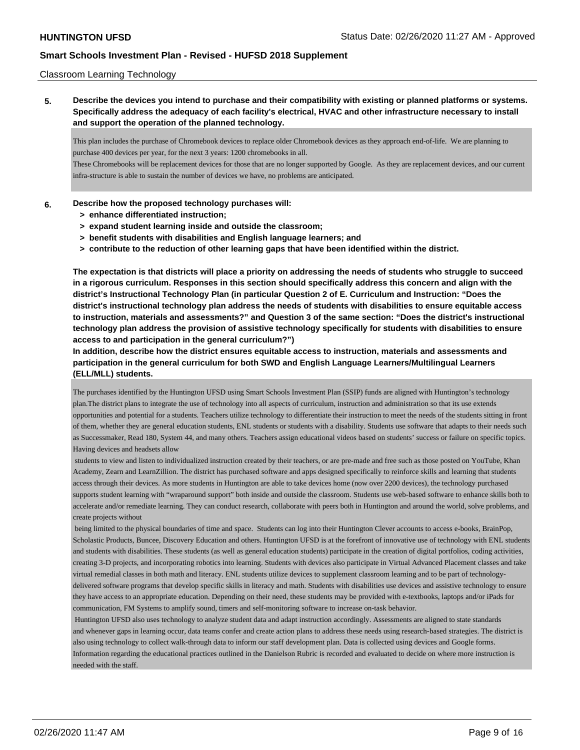### Classroom Learning Technology

**5. Describe the devices you intend to purchase and their compatibility with existing or planned platforms or systems. Specifically address the adequacy of each facility's electrical, HVAC and other infrastructure necessary to install and support the operation of the planned technology.**

This plan includes the purchase of Chromebook devices to replace older Chromebook devices as they approach end-of-life. We are planning to purchase 400 devices per year, for the next 3 years: 1200 chromebooks in all.

These Chromebooks will be replacement devices for those that are no longer supported by Google. As they are replacement devices, and our current infra-structure is able to sustain the number of devices we have, no problems are anticipated.

#### **6. Describe how the proposed technology purchases will:**

- **> enhance differentiated instruction;**
- **> expand student learning inside and outside the classroom;**
- **> benefit students with disabilities and English language learners; and**
- **> contribute to the reduction of other learning gaps that have been identified within the district.**

**The expectation is that districts will place a priority on addressing the needs of students who struggle to succeed in a rigorous curriculum. Responses in this section should specifically address this concern and align with the district's Instructional Technology Plan (in particular Question 2 of E. Curriculum and Instruction: "Does the district's instructional technology plan address the needs of students with disabilities to ensure equitable access to instruction, materials and assessments?" and Question 3 of the same section: "Does the district's instructional technology plan address the provision of assistive technology specifically for students with disabilities to ensure access to and participation in the general curriculum?")**

**In addition, describe how the district ensures equitable access to instruction, materials and assessments and participation in the general curriculum for both SWD and English Language Learners/Multilingual Learners (ELL/MLL) students.**

The purchases identified by the Huntington UFSD using Smart Schools Investment Plan (SSIP) funds are aligned with Huntington's technology plan.The district plans to integrate the use of technology into all aspects of curriculum, instruction and administration so that its use extends opportunities and potential for a students. Teachers utilize technology to differentiate their instruction to meet the needs of the students sitting in front of them, whether they are general education students, ENL students or students with a disability. Students use software that adapts to their needs such as Successmaker, Read 180, System 44, and many others. Teachers assign educational videos based on students' success or failure on specific topics. Having devices and headsets allow

 students to view and listen to individualized instruction created by their teachers, or are pre-made and free such as those posted on YouTube, Khan Academy, Zearn and LearnZillion. The district has purchased software and apps designed specifically to reinforce skills and learning that students access through their devices. As more students in Huntington are able to take devices home (now over 2200 devices), the technology purchased supports student learning with "wraparound support" both inside and outside the classroom. Students use web-based software to enhance skills both to accelerate and/or remediate learning. They can conduct research, collaborate with peers both in Huntington and around the world, solve problems, and create projects without

 being limited to the physical boundaries of time and space. Students can log into their Huntington Clever accounts to access e-books, BrainPop, Scholastic Products, Buncee, Discovery Education and others. Huntington UFSD is at the forefront of innovative use of technology with ENL students and students with disabilities. These students (as well as general education students) participate in the creation of digital portfolios, coding activities, creating 3-D projects, and incorporating robotics into learning. Students with devices also participate in Virtual Advanced Placement classes and take virtual remedial classes in both math and literacy. ENL students utilize devices to supplement classroom learning and to be part of technologydelivered software programs that develop specific skills in literacy and math. Students with disabilities use devices and assistive technology to ensure they have access to an appropriate education. Depending on their need, these students may be provided with e-textbooks, laptops and/or iPads for communication, FM Systems to amplify sound, timers and self-monitoring software to increase on-task behavior.

 Huntington UFSD also uses technology to analyze student data and adapt instruction accordingly. Assessments are aligned to state standards and whenever gaps in learning occur, data teams confer and create action plans to address these needs using research-based strategies. The district is also using technology to collect walk-through data to inform our staff development plan. Data is collected using devices and Google forms. Information regarding the educational practices outlined in the Danielson Rubric is recorded and evaluated to decide on where more instruction is needed with the staff.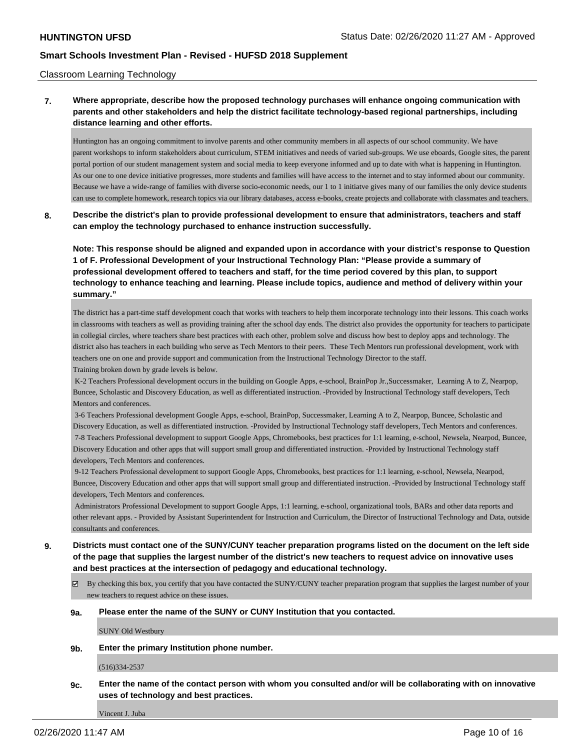### Classroom Learning Technology

**7. Where appropriate, describe how the proposed technology purchases will enhance ongoing communication with parents and other stakeholders and help the district facilitate technology-based regional partnerships, including distance learning and other efforts.**

Huntington has an ongoing commitment to involve parents and other community members in all aspects of our school community. We have parent workshops to inform stakeholders about curriculum, STEM initiatives and needs of varied sub-groups. We use eboards, Google sites, the parent portal portion of our student management system and social media to keep everyone informed and up to date with what is happening in Huntington. As our one to one device initiative progresses, more students and families will have access to the internet and to stay informed about our community. Because we have a wide-range of families with diverse socio-economic needs, our 1 to 1 initiatve gives many of our families the only device students can use to complete homework, research topics via our library databases, access e-books, create projects and collaborate with classmates and teachers.

**8. Describe the district's plan to provide professional development to ensure that administrators, teachers and staff can employ the technology purchased to enhance instruction successfully.**

**Note: This response should be aligned and expanded upon in accordance with your district's response to Question 1 of F. Professional Development of your Instructional Technology Plan: "Please provide a summary of professional development offered to teachers and staff, for the time period covered by this plan, to support technology to enhance teaching and learning. Please include topics, audience and method of delivery within your summary."**

The district has a part-time staff development coach that works with teachers to help them incorporate technology into their lessons. This coach works in classrooms with teachers as well as providing training after the school day ends. The district also provides the opportunity for teachers to participate in collegial circles, where teachers share best practices with each other, problem solve and discuss how best to deploy apps and technology. The district also has teachers in each building who serve as Tech Mentors to their peers. These Tech Mentors run professional development, work with teachers one on one and provide support and communication from the Instructional Technology Director to the staff. Training broken down by grade levels is below.

 K-2 Teachers Professional development occurs in the building on Google Apps, e-school, BrainPop Jr.,Successmaker, Learning A to Z, Nearpop, Buncee, Scholastic and Discovery Education, as well as differentiated instruction. -Provided by Instructional Technology staff developers, Tech Mentors and conferences.

 3-6 Teachers Professional development Google Apps, e-school, BrainPop, Successmaker, Learning A to Z, Nearpop, Buncee, Scholastic and Discovery Education, as well as differentiated instruction. -Provided by Instructional Technology staff developers, Tech Mentors and conferences. 7-8 Teachers Professional development to support Google Apps, Chromebooks, best practices for 1:1 learning, e-school, Newsela, Nearpod, Buncee, Discovery Education and other apps that will support small group and differentiated instruction. -Provided by Instructional Technology staff developers, Tech Mentors and conferences.

 9-12 Teachers Professional development to support Google Apps, Chromebooks, best practices for 1:1 learning, e-school, Newsela, Nearpod, Buncee, Discovery Education and other apps that will support small group and differentiated instruction. -Provided by Instructional Technology staff developers, Tech Mentors and conferences.

 Administrators Professional Development to support Google Apps, 1:1 learning, e-school, organizational tools, BARs and other data reports and other relevant apps. - Provided by Assistant Superintendent for Instruction and Curriculum, the Director of Instructional Technology and Data, outside consultants and conferences.

- **9. Districts must contact one of the SUNY/CUNY teacher preparation programs listed on the document on the left side of the page that supplies the largest number of the district's new teachers to request advice on innovative uses and best practices at the intersection of pedagogy and educational technology.**
	- By checking this box, you certify that you have contacted the SUNY/CUNY teacher preparation program that supplies the largest number of your new teachers to request advice on these issues.
	- **9a. Please enter the name of the SUNY or CUNY Institution that you contacted.**

SUNY Old Westbury

**9b. Enter the primary Institution phone number.**

(516)334-2537

**9c. Enter the name of the contact person with whom you consulted and/or will be collaborating with on innovative uses of technology and best practices.**

Vincent J. Juba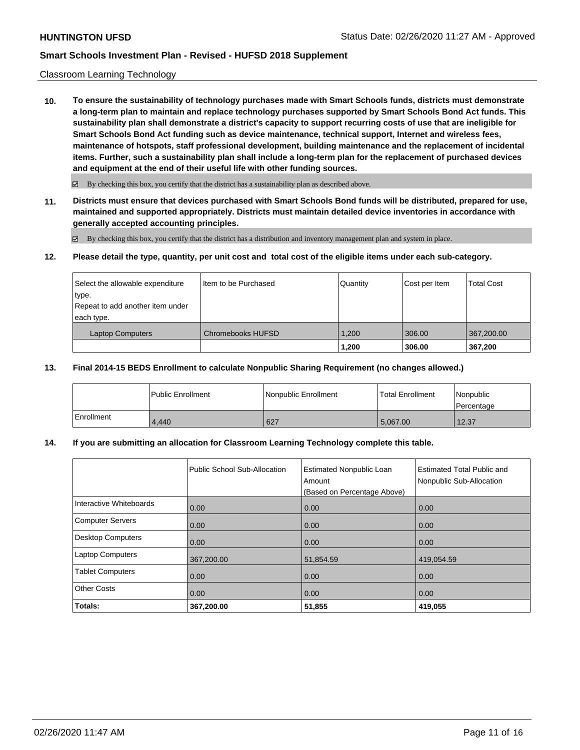### Classroom Learning Technology

**10. To ensure the sustainability of technology purchases made with Smart Schools funds, districts must demonstrate a long-term plan to maintain and replace technology purchases supported by Smart Schools Bond Act funds. This sustainability plan shall demonstrate a district's capacity to support recurring costs of use that are ineligible for Smart Schools Bond Act funding such as device maintenance, technical support, Internet and wireless fees, maintenance of hotspots, staff professional development, building maintenance and the replacement of incidental items. Further, such a sustainability plan shall include a long-term plan for the replacement of purchased devices and equipment at the end of their useful life with other funding sources.**

 $\boxtimes$  By checking this box, you certify that the district has a sustainability plan as described above.

**11. Districts must ensure that devices purchased with Smart Schools Bond funds will be distributed, prepared for use, maintained and supported appropriately. Districts must maintain detailed device inventories in accordance with generally accepted accounting principles.**

By checking this box, you certify that the district has a distribution and inventory management plan and system in place.

#### **12. Please detail the type, quantity, per unit cost and total cost of the eligible items under each sub-category.**

| Select the allowable expenditure<br>type.<br>Repeat to add another item under<br>each type. | Iltem to be Purchased | Quantity | Cost per Item | <b>Total Cost</b> |
|---------------------------------------------------------------------------------------------|-----------------------|----------|---------------|-------------------|
| <b>Laptop Computers</b>                                                                     | Chromebooks HUFSD     | 1.200    | 306.00        | 367,200.00        |
|                                                                                             |                       | 1,200    | 306.00        | 367.200           |

### **13. Final 2014-15 BEDS Enrollment to calculate Nonpublic Sharing Requirement (no changes allowed.)**

|              | <b>Public Enrollment</b> | Nonpublic Enrollment | Total Enrollment | Nonpublic<br>l Percentage |
|--------------|--------------------------|----------------------|------------------|---------------------------|
| l Enrollment | 4.440                    | 627                  | 5.067.00         | 12.37                     |

### **14. If you are submitting an allocation for Classroom Learning Technology complete this table.**

|                         | Public School Sub-Allocation | <b>Estimated Nonpublic Loan</b><br>Amount<br>(Based on Percentage Above) | Estimated Total Public and<br>Nonpublic Sub-Allocation |
|-------------------------|------------------------------|--------------------------------------------------------------------------|--------------------------------------------------------|
| Interactive Whiteboards | 0.00                         | 0.00                                                                     | 0.00                                                   |
| Computer Servers        | 0.00                         | 0.00                                                                     | 0.00                                                   |
| Desktop Computers       | 0.00                         | 0.00                                                                     | 0.00                                                   |
| <b>Laptop Computers</b> | 367,200.00                   | 51,854.59                                                                | 419,054.59                                             |
| <b>Tablet Computers</b> | 0.00                         | 0.00                                                                     | 0.00                                                   |
| <b>Other Costs</b>      | 0.00                         | 0.00                                                                     | 0.00                                                   |
| Totals:                 | 367,200.00                   | 51,855                                                                   | 419,055                                                |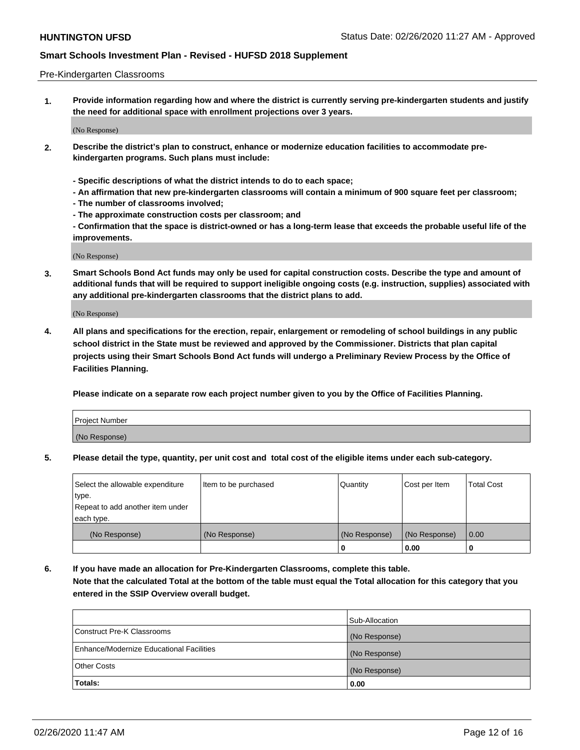#### Pre-Kindergarten Classrooms

**1. Provide information regarding how and where the district is currently serving pre-kindergarten students and justify the need for additional space with enrollment projections over 3 years.**

(No Response)

- **2. Describe the district's plan to construct, enhance or modernize education facilities to accommodate prekindergarten programs. Such plans must include:**
	- **Specific descriptions of what the district intends to do to each space;**
	- **An affirmation that new pre-kindergarten classrooms will contain a minimum of 900 square feet per classroom;**
	- **The number of classrooms involved;**
	- **The approximate construction costs per classroom; and**
	- **Confirmation that the space is district-owned or has a long-term lease that exceeds the probable useful life of the improvements.**

(No Response)

**3. Smart Schools Bond Act funds may only be used for capital construction costs. Describe the type and amount of additional funds that will be required to support ineligible ongoing costs (e.g. instruction, supplies) associated with any additional pre-kindergarten classrooms that the district plans to add.**

(No Response)

**4. All plans and specifications for the erection, repair, enlargement or remodeling of school buildings in any public school district in the State must be reviewed and approved by the Commissioner. Districts that plan capital projects using their Smart Schools Bond Act funds will undergo a Preliminary Review Process by the Office of Facilities Planning.**

**Please indicate on a separate row each project number given to you by the Office of Facilities Planning.**

| Project Number |  |
|----------------|--|
| (No Response)  |  |
|                |  |

**5. Please detail the type, quantity, per unit cost and total cost of the eligible items under each sub-category.**

| Select the allowable expenditure | Item to be purchased | Quantity      | Cost per Item | <b>Total Cost</b> |
|----------------------------------|----------------------|---------------|---------------|-------------------|
| type.                            |                      |               |               |                   |
| Repeat to add another item under |                      |               |               |                   |
| each type.                       |                      |               |               |                   |
| (No Response)                    | (No Response)        | (No Response) | (No Response) | 0.00              |
|                                  |                      | υ             | 0.00          |                   |

**6. If you have made an allocation for Pre-Kindergarten Classrooms, complete this table. Note that the calculated Total at the bottom of the table must equal the Total allocation for this category that you entered in the SSIP Overview overall budget.**

|                                          | Sub-Allocation |
|------------------------------------------|----------------|
| Construct Pre-K Classrooms               | (No Response)  |
| Enhance/Modernize Educational Facilities | (No Response)  |
| <b>Other Costs</b>                       | (No Response)  |
| Totals:                                  | 0.00           |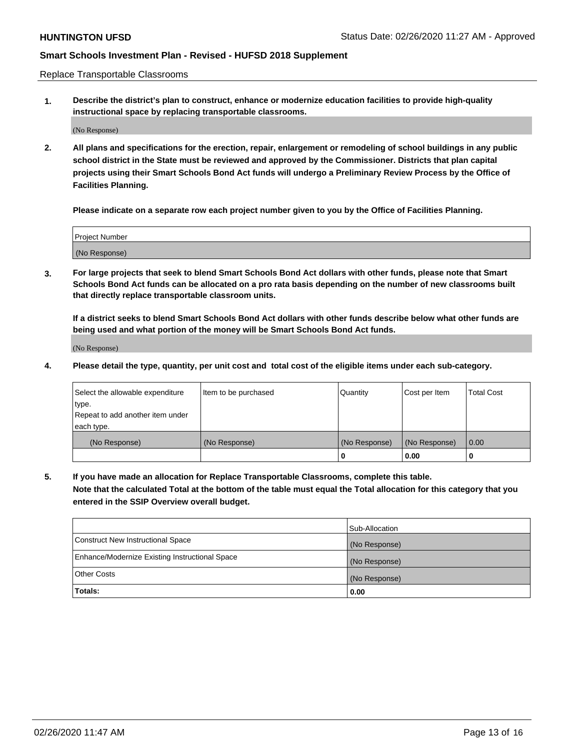Replace Transportable Classrooms

**1. Describe the district's plan to construct, enhance or modernize education facilities to provide high-quality instructional space by replacing transportable classrooms.**

(No Response)

**2. All plans and specifications for the erection, repair, enlargement or remodeling of school buildings in any public school district in the State must be reviewed and approved by the Commissioner. Districts that plan capital projects using their Smart Schools Bond Act funds will undergo a Preliminary Review Process by the Office of Facilities Planning.**

**Please indicate on a separate row each project number given to you by the Office of Facilities Planning.**

| Project Number |  |
|----------------|--|
|                |  |
| (No Response)  |  |

**3. For large projects that seek to blend Smart Schools Bond Act dollars with other funds, please note that Smart Schools Bond Act funds can be allocated on a pro rata basis depending on the number of new classrooms built that directly replace transportable classroom units.**

**If a district seeks to blend Smart Schools Bond Act dollars with other funds describe below what other funds are being used and what portion of the money will be Smart Schools Bond Act funds.**

(No Response)

**4. Please detail the type, quantity, per unit cost and total cost of the eligible items under each sub-category.**

| Select the allowable expenditure | Item to be purchased | Quantity      | Cost per Item | Total Cost |
|----------------------------------|----------------------|---------------|---------------|------------|
| ∣type.                           |                      |               |               |            |
| Repeat to add another item under |                      |               |               |            |
| each type.                       |                      |               |               |            |
| (No Response)                    | (No Response)        | (No Response) | (No Response) | 0.00       |
|                                  |                      | u             | 0.00          |            |

**5. If you have made an allocation for Replace Transportable Classrooms, complete this table. Note that the calculated Total at the bottom of the table must equal the Total allocation for this category that you entered in the SSIP Overview overall budget.**

|                                                | Sub-Allocation |
|------------------------------------------------|----------------|
| Construct New Instructional Space              | (No Response)  |
| Enhance/Modernize Existing Instructional Space | (No Response)  |
| <b>Other Costs</b>                             | (No Response)  |
| Totals:                                        | 0.00           |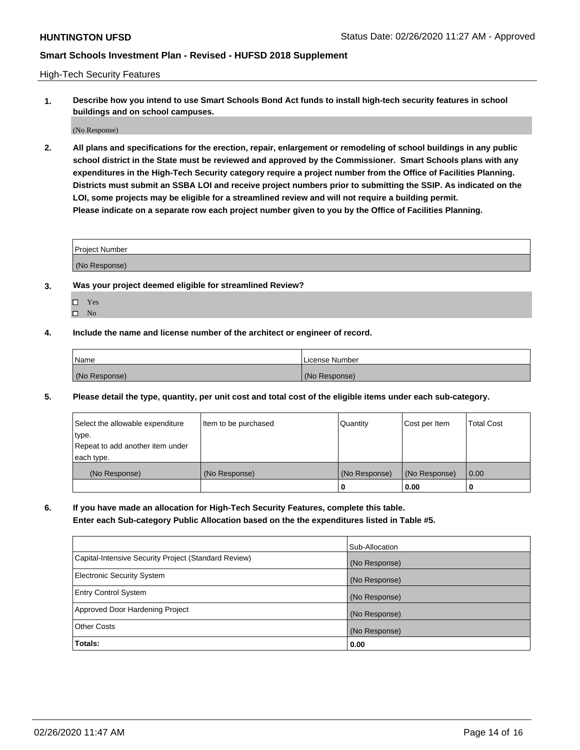High-Tech Security Features

**1. Describe how you intend to use Smart Schools Bond Act funds to install high-tech security features in school buildings and on school campuses.**

(No Response)

**2. All plans and specifications for the erection, repair, enlargement or remodeling of school buildings in any public school district in the State must be reviewed and approved by the Commissioner. Smart Schools plans with any expenditures in the High-Tech Security category require a project number from the Office of Facilities Planning. Districts must submit an SSBA LOI and receive project numbers prior to submitting the SSIP. As indicated on the LOI, some projects may be eligible for a streamlined review and will not require a building permit. Please indicate on a separate row each project number given to you by the Office of Facilities Planning.**

| <b>Project Number</b>                                  |  |
|--------------------------------------------------------|--|
| MN<br>$\sim$ $\sim$ $\sim$ $\sim$ $\sim$ $\sim$ $\sim$ |  |

- **3. Was your project deemed eligible for streamlined Review?**
	- Yes
	- $\hfill \square$  No
- **4. Include the name and license number of the architect or engineer of record.**

| Name          | License Number |
|---------------|----------------|
| (No Response) | (No Response)  |

**5. Please detail the type, quantity, per unit cost and total cost of the eligible items under each sub-category.**

| Select the allowable expenditure | Item to be purchased | Quantity      | Cost per Item | <b>Total Cost</b> |
|----------------------------------|----------------------|---------------|---------------|-------------------|
| type.                            |                      |               |               |                   |
| Repeat to add another item under |                      |               |               |                   |
| each type.                       |                      |               |               |                   |
| (No Response)                    | (No Response)        | (No Response) | (No Response) | $\overline{0.00}$ |
|                                  |                      | U             | 0.00          |                   |

**6. If you have made an allocation for High-Tech Security Features, complete this table.**

**Enter each Sub-category Public Allocation based on the the expenditures listed in Table #5.**

|                                                      | Sub-Allocation |
|------------------------------------------------------|----------------|
| Capital-Intensive Security Project (Standard Review) | (No Response)  |
| <b>Electronic Security System</b>                    | (No Response)  |
| <b>Entry Control System</b>                          | (No Response)  |
| Approved Door Hardening Project                      | (No Response)  |
| <b>Other Costs</b>                                   | (No Response)  |
| Totals:                                              | 0.00           |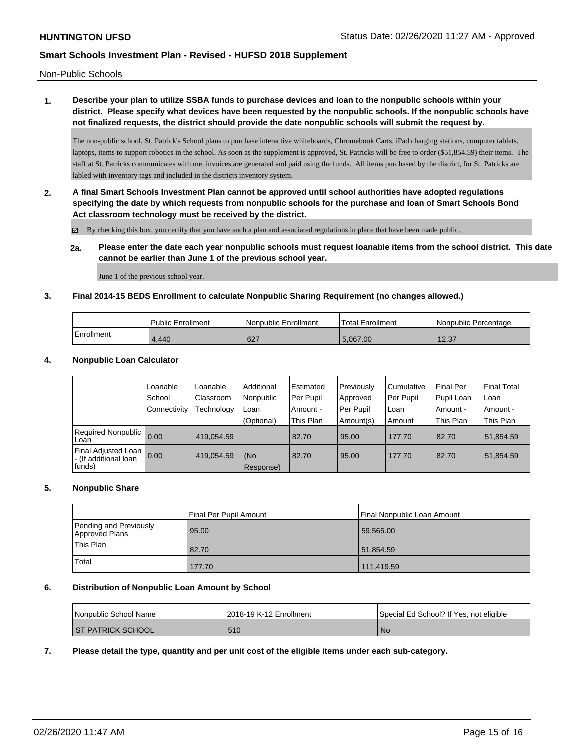Non-Public Schools

### **1. Describe your plan to utilize SSBA funds to purchase devices and loan to the nonpublic schools within your district. Please specify what devices have been requested by the nonpublic schools. If the nonpublic schools have not finalized requests, the district should provide the date nonpublic schools will submit the request by.**

The non-public school, St. Patrick's School plans to purchase interactive whiteboards, Chromebook Carts, iPad charging stations, computer tablets, laptops, items to support robotics in the school. As soon as the supplement is approved, St. Patricks will be free to order (\$51,854.59) their items. The staff at St. Patricks communicates with me, invoices are generated and paid using the funds. All items purchased by the district, for St. Patricks are labled with inventory tags and included in the districts inventory system.

**2. A final Smart Schools Investment Plan cannot be approved until school authorities have adopted regulations specifying the date by which requests from nonpublic schools for the purchase and loan of Smart Schools Bond Act classroom technology must be received by the district.**

By checking this box, you certify that you have such a plan and associated regulations in place that have been made public.

**2a. Please enter the date each year nonpublic schools must request loanable items from the school district. This date cannot be earlier than June 1 of the previous school year.**

June 1 of the previous school year.

### **3. Final 2014-15 BEDS Enrollment to calculate Nonpublic Sharing Requirement (no changes allowed.)**

|            | Public Enrollment | Nonpublic Enrollment | <sup>1</sup> Total Enrollment | Nonpublic Percentage |
|------------|-------------------|----------------------|-------------------------------|----------------------|
| Enrollment | 4.440             | 627                  | 5.067.00                      | 12.37<br>ا د.ے ا     |

### **4. Nonpublic Loan Calculator**

|                                                         | Loanable<br>School | Loanable<br>Classroom | Additional<br>Nonpublic | Estimated<br>Per Pupil | Previously<br>Approved | Cumulative<br>Per Pupil | <b>Final Per</b><br>Pupil Loan | <b>Final Total</b><br>Loan |
|---------------------------------------------------------|--------------------|-----------------------|-------------------------|------------------------|------------------------|-------------------------|--------------------------------|----------------------------|
|                                                         | l Connectivitv     | Technology            | Loan                    | Amount -               | Per Pupil              | Loan                    | Amount -                       | Amount -                   |
|                                                         |                    |                       | (Optional)              | This Plan              | Amount(s)              | Amount                  | This Plan                      | This Plan                  |
| Required Nonpublic<br>l Loan                            | 0.00               | 419.054.59            |                         | 82.70                  | 95.00                  | 177.70                  | 82.70                          | 51,854.59                  |
| Final Adjusted Loan<br>- (If additional loan<br> funds) | 0.00               | 419.054.59            | (No<br>Response)        | 82.70                  | 95.00                  | 177.70                  | 82.70                          | 51,854.59                  |

### **5. Nonpublic Share**

|                                          | Final Per Pupil Amount | Final Nonpublic Loan Amount |
|------------------------------------------|------------------------|-----------------------------|
| Pending and Previously<br>Approved Plans | 95.00                  | 59.565.00                   |
| This Plan                                | 82.70                  | 51.854.59                   |
| Total                                    | 177.70                 | 111,419.59                  |

#### **6. Distribution of Nonpublic Loan Amount by School**

| Nonpublic School Name    | 2018-19 K-12 Enrollment | Special Ed School? If Yes, not eligible |
|--------------------------|-------------------------|-----------------------------------------|
| <b>ST PATRICK SCHOOL</b> | 510                     | No                                      |

### **7. Please detail the type, quantity and per unit cost of the eligible items under each sub-category.**